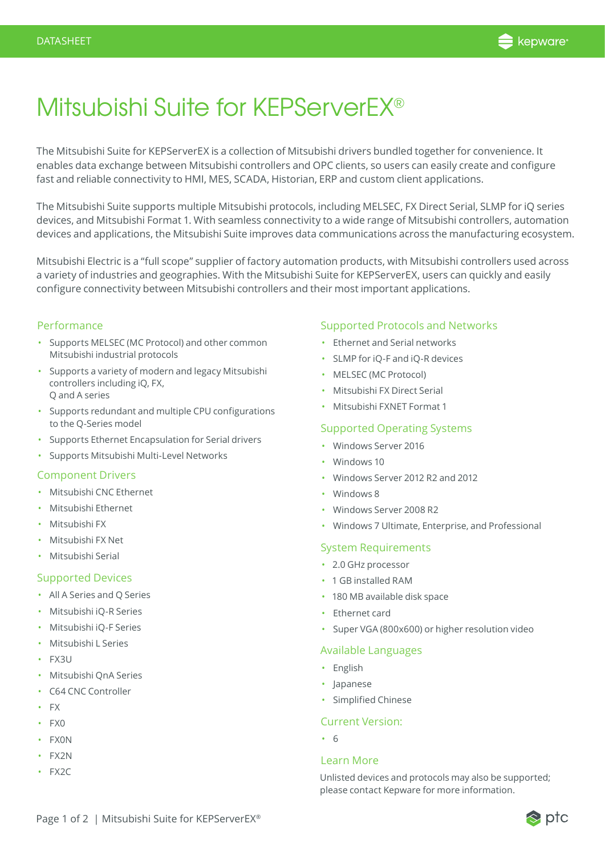

# Mitsubishi Suite for KEPServerEX®

The Mitsubishi Suite for KEPServerEX is a collection of Mitsubishi drivers bundled together for convenience. It enables data exchange between Mitsubishi controllers and OPC clients, so users can easily create and configure fast and reliable connectivity to HMI, MES, SCADA, Historian, ERP and custom client applications.

The Mitsubishi Suite supports multiple Mitsubishi protocols, including MELSEC, FX Direct Serial, SLMP for iQ series devices, and Mitsubishi Format 1. With seamless connectivity to a wide range of Mitsubishi controllers, automation devices and applications, the Mitsubishi Suite improves data communications across the manufacturing ecosystem.

Mitsubishi Electric is a "full scope" supplier of factory automation products, with Mitsubishi controllers used across a variety of industries and geographies. With the Mitsubishi Suite for KEPServerEX, users can quickly and easily configure connectivity between Mitsubishi controllers and their most important applications.

## Performance

- Supports MELSEC (MC Protocol) and other common Mitsubishi industrial protocols
- Supports a variety of modern and legacy Mitsubishi controllers including iQ, FX, Q and A series
- Supports redundant and multiple CPU configurations to the Q-Series model
- Supports Ethernet Encapsulation for Serial drivers
- Supports Mitsubishi Multi-Level Networks

## Component Drivers

- Mitsubishi CNC Ethernet
- Mitsubishi Ethernet
- Mitsubishi FX
- Mitsubishi FX Net
- Mitsubishi Serial

## Supported Devices

- All A Series and Q Series
- Mitsubishi iQ-R Series
- Mitsubishi iQ-F Series
- Mitsubishi L Series
- FX3U
- Mitsubishi QnA Series
- C64 CNC Controller
- FX
- FX0
- FX0N
- FX2N
- FX2C

## Supported Protocols and Networks

- Ethernet and Serial networks
- SLMP for iQ-F and iQ-R devices
- MELSEC (MC Protocol)
- Mitsubishi FX Direct Serial
- Mitsubishi FXNET Format 1

## Supported Operating Systems

- Windows Server 2016
- Windows 10
- Windows Server 2012 R2 and 2012
- Windows 8
- Windows Server 2008 R2
- Windows 7 Ultimate, Enterprise, and Professional

# System Requirements

- 2.0 GHz processor
- 1 GB installed RAM
- 180 MB available disk space
- Ethernet card
- Super VGA (800x600) or higher resolution video

## Available Languages

- English
- Japanese
- Simplified Chinese

## Current Version:

• 6

#### Learn More

Unlisted devices and protocols may also be supported; please contact Kepware for more information.